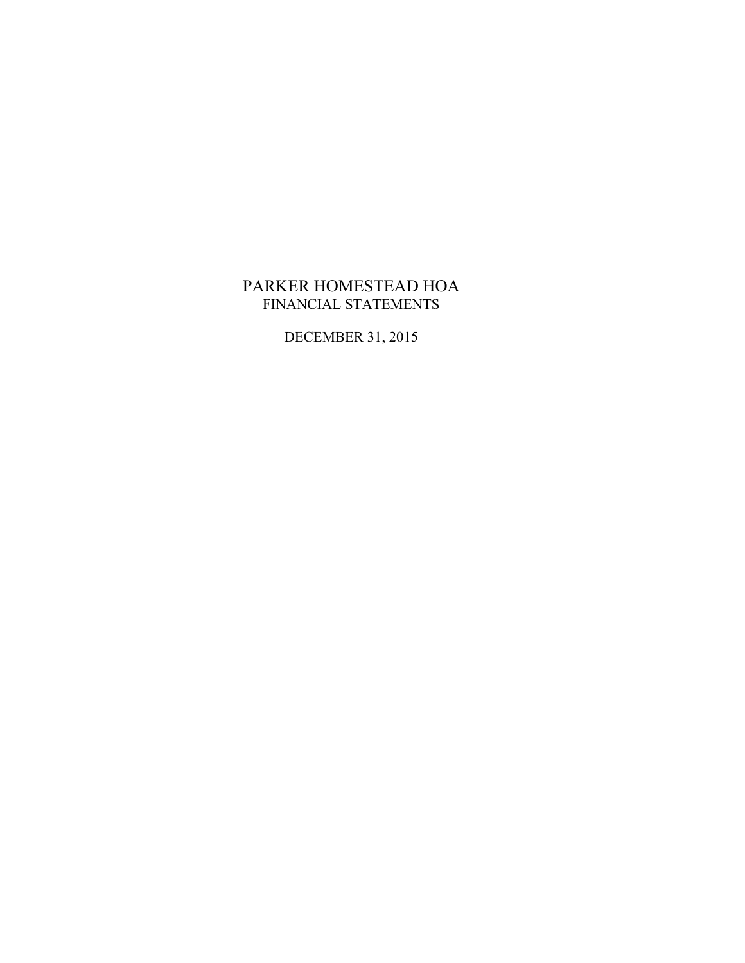## PARKER HOMESTEAD HOA FINANCIAL STATEMENTS

DECEMBER 31, 2015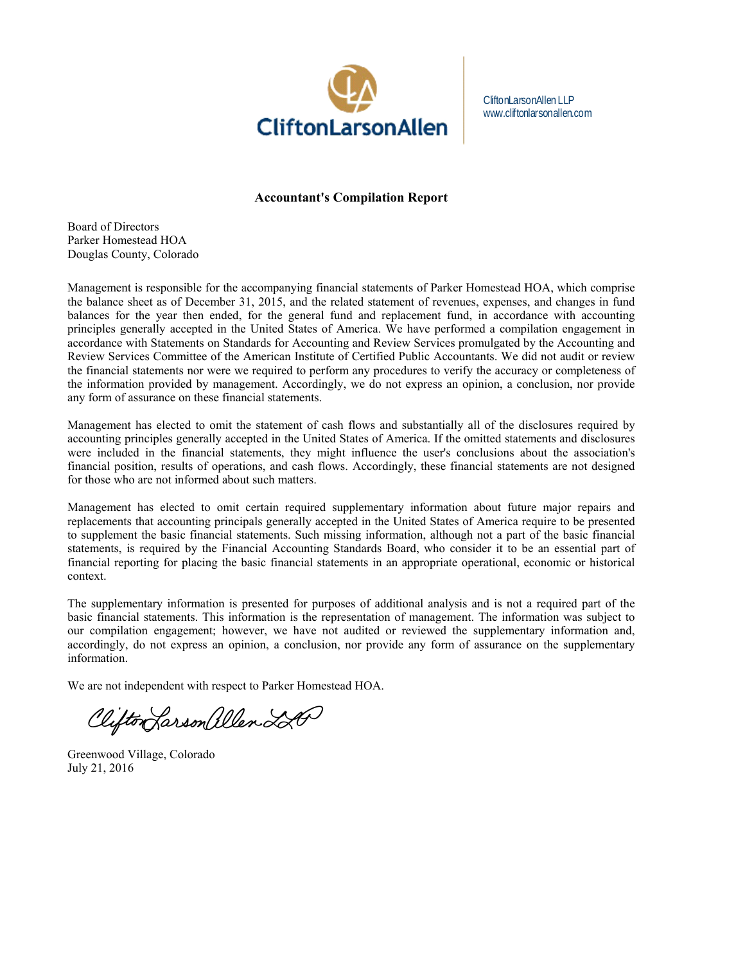

CliftonLarsonAllen LLP www.cliftonlarsonallen.com

#### **Accountant's Compilation Report**

Board of Directors Parker Homestead HOA Douglas County, Colorado

Management is responsible for the accompanying financial statements of Parker Homestead HOA, which comprise the balance sheet as of December 31, 2015, and the related statement of revenues, expenses, and changes in fund balances for the year then ended, for the general fund and replacement fund, in accordance with accounting principles generally accepted in the United States of America. We have performed a compilation engagement in accordance with Statements on Standards for Accounting and Review Services promulgated by the Accounting and Review Services Committee of the American Institute of Certified Public Accountants. We did not audit or review the financial statements nor were we required to perform any procedures to verify the accuracy or completeness of the information provided by management. Accordingly, we do not express an opinion, a conclusion, nor provide any form of assurance on these financial statements.

Management has elected to omit the statement of cash flows and substantially all of the disclosures required by accounting principles generally accepted in the United States of America. If the omitted statements and disclosures were included in the financial statements, they might influence the user's conclusions about the association's financial position, results of operations, and cash flows. Accordingly, these financial statements are not designed for those who are not informed about such matters.

Management has elected to omit certain required supplementary information about future major repairs and replacements that accounting principals generally accepted in the United States of America require to be presented to supplement the basic financial statements. Such missing information, although not a part of the basic financial statements, is required by the Financial Accounting Standards Board, who consider it to be an essential part of financial reporting for placing the basic financial statements in an appropriate operational, economic or historical context.

The supplementary information is presented for purposes of additional analysis and is not a required part of the basic financial statements. This information is the representation of management. The information was subject to our compilation engagement; however, we have not audited or reviewed the supplementary information and, accordingly, do not express an opinion, a conclusion, nor provide any form of assurance on the supplementary information.

We are not independent with respect to Parker Homestead HOA.

Clifton Larson allen 220

Greenwood Village, Colorado July 21, 2016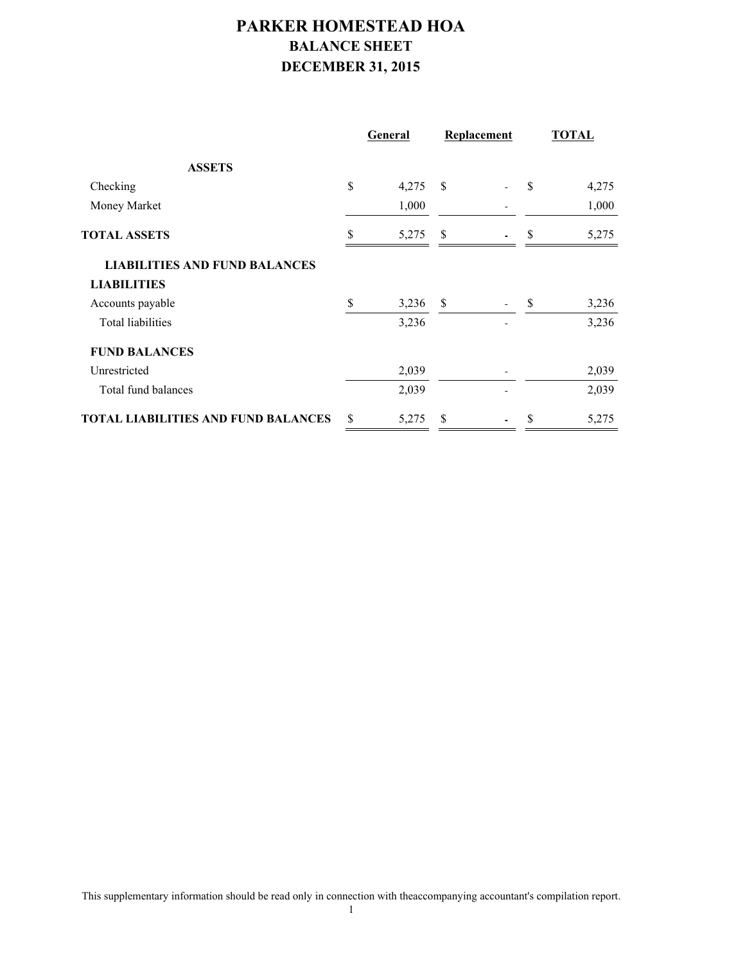# **PARKER HOMESTEAD HOA BALANCE SHEET DECEMBER 31, 2015**

|                                            |               | <b>General</b> |               | Replacement |    | <b>TOTAL</b> |  |
|--------------------------------------------|---------------|----------------|---------------|-------------|----|--------------|--|
| <b>ASSETS</b>                              |               |                |               |             |    |              |  |
| Checking                                   | \$            | 4,275          | <sup>\$</sup> |             | S  | 4,275        |  |
| Money Market                               |               | 1,000          |               |             |    | 1,000        |  |
| <b>TOTAL ASSETS</b>                        | \$            | 5,275          | \$            |             | S  | 5,275        |  |
| <b>LIABILITIES AND FUND BALANCES</b>       |               |                |               |             |    |              |  |
| <b>LIABILITIES</b>                         |               |                |               |             |    |              |  |
| Accounts payable                           | \$            | 3,236          | \$            |             | \$ | 3,236        |  |
| Total liabilities                          |               | 3,236          |               |             |    | 3,236        |  |
| <b>FUND BALANCES</b>                       |               |                |               |             |    |              |  |
| Unrestricted                               |               | 2,039          |               |             |    | 2,039        |  |
| Total fund balances                        |               | 2,039          |               |             |    | 2,039        |  |
| <b>TOTAL LIABILITIES AND FUND BALANCES</b> | <sup>\$</sup> | 5,275          | S             |             | S  | 5,275        |  |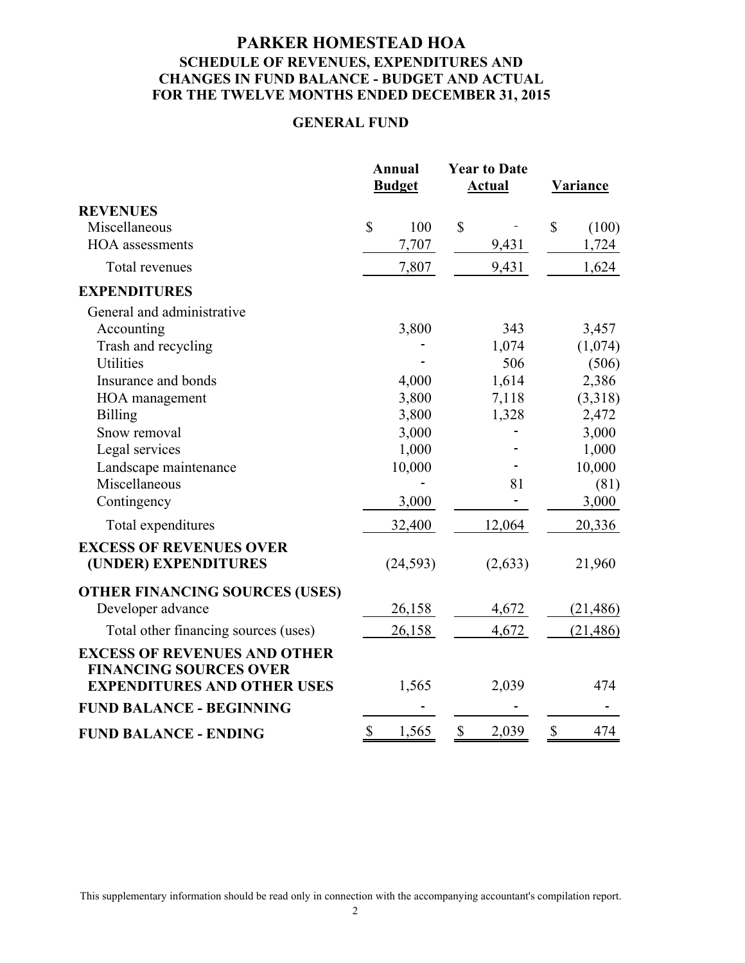## **PARKER HOMESTEAD HOA SCHEDULE OF REVENUES, EXPENDITURES AND CHANGES IN FUND BALANCE - BUDGET AND ACTUAL FOR THE TWELVE MONTHS ENDED DECEMBER 31, 2015**

#### **GENERAL FUND**

|                                                                      |    | <b>Annual</b><br><b>Budget</b> |              | <b>Year to Date</b><br><b>Actual</b> |              | <b>Variance</b> |  |
|----------------------------------------------------------------------|----|--------------------------------|--------------|--------------------------------------|--------------|-----------------|--|
| <b>REVENUES</b>                                                      |    |                                |              |                                      |              |                 |  |
| Miscellaneous                                                        | \$ | 100                            | $\mathbb{S}$ |                                      | $\mathbb{S}$ | (100)           |  |
| <b>HOA</b> assessments                                               |    | 7,707                          |              | 9,431                                |              | 1,724           |  |
| Total revenues                                                       |    | 7,807                          |              | 9,431                                |              | 1,624           |  |
| <b>EXPENDITURES</b>                                                  |    |                                |              |                                      |              |                 |  |
| General and administrative                                           |    |                                |              |                                      |              |                 |  |
| Accounting                                                           |    | 3,800                          |              | 343                                  |              | 3,457           |  |
| Trash and recycling                                                  |    |                                |              | 1,074                                |              | (1,074)         |  |
| <b>Utilities</b>                                                     |    |                                |              | 506                                  |              | (506)           |  |
| Insurance and bonds                                                  |    | 4,000                          |              | 1,614                                |              | 2,386           |  |
| HOA management                                                       |    | 3,800                          |              | 7,118                                |              | (3,318)         |  |
| <b>Billing</b>                                                       |    | 3,800                          |              | 1,328                                |              | 2,472           |  |
| Snow removal                                                         |    | 3,000                          |              |                                      |              | 3,000           |  |
| Legal services                                                       |    | 1,000                          |              |                                      |              | 1,000           |  |
| Landscape maintenance                                                |    | 10,000                         |              |                                      |              | 10,000          |  |
| Miscellaneous                                                        |    |                                |              | 81                                   |              | (81)            |  |
| Contingency                                                          |    | 3,000                          |              |                                      |              | 3,000           |  |
| Total expenditures                                                   |    | 32,400                         |              | 12,064                               |              | 20,336          |  |
| <b>EXCESS OF REVENUES OVER</b><br>(UNDER) EXPENDITURES               |    | (24, 593)                      |              | (2,633)                              |              | 21,960          |  |
| <b>OTHER FINANCING SOURCES (USES)</b>                                |    |                                |              |                                      |              |                 |  |
| Developer advance                                                    |    | 26,158                         |              | 4,672                                |              | (21, 486)       |  |
| Total other financing sources (uses)                                 |    | 26,158                         |              | 4,672                                |              | (21, 486)       |  |
| <b>EXCESS OF REVENUES AND OTHER</b><br><b>FINANCING SOURCES OVER</b> |    |                                |              |                                      |              |                 |  |
| <b>EXPENDITURES AND OTHER USES</b>                                   |    | 1,565                          |              | 2,039                                |              | 474             |  |
| <b>FUND BALANCE - BEGINNING</b>                                      |    |                                |              |                                      |              |                 |  |
| <b>FUND BALANCE - ENDING</b>                                         | \$ | 1,565                          | \$           | 2,039                                | \$           | 474             |  |

This supplementary information should be read only in connection with the accompanying accountant's compilation report.